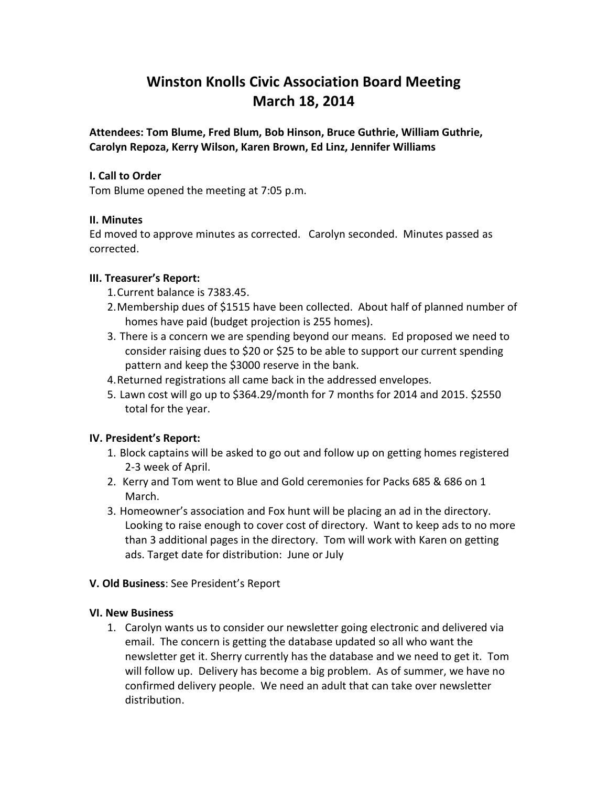# **Winston Knolls Civic Association Board Meeting March 18, 2014**

**Attendees: Tom Blume, Fred Blum, Bob Hinson, Bruce Guthrie, William Guthrie, Carolyn Repoza, Kerry Wilson, Karen Brown, Ed Linz, Jennifer Williams**

## **I. Call to Order**

Tom Blume opened the meeting at 7:05 p.m.

## **II. Minutes**

Ed moved to approve minutes as corrected. Carolyn seconded. Minutes passed as corrected.

# **III. Treasurer's Report:**

- 1.Current balance is 7383.45.
- 2.Membership dues of \$1515 have been collected. About half of planned number of homes have paid (budget projection is 255 homes).
- 3. There is a concern we are spending beyond our means. Ed proposed we need to consider raising dues to \$20 or \$25 to be able to support our current spending pattern and keep the \$3000 reserve in the bank.
- 4.Returned registrations all came back in the addressed envelopes.
- 5. Lawn cost will go up to \$364.29/month for 7 months for 2014 and 2015. \$2550 total for the year.

# **IV. President's Report:**

- 1. Block captains will be asked to go out and follow up on getting homes registered 2-3 week of April.
- 2. Kerry and Tom went to Blue and Gold ceremonies for Packs 685 & 686 on 1 March.
- 3. Homeowner's association and Fox hunt will be placing an ad in the directory. Looking to raise enough to cover cost of directory. Want to keep ads to no more than 3 additional pages in the directory. Tom will work with Karen on getting ads. Target date for distribution: June or July

#### **V. Old Business**: See President's Report

#### **VI. New Business**

1. Carolyn wants us to consider our newsletter going electronic and delivered via email. The concern is getting the database updated so all who want the newsletter get it. Sherry currently has the database and we need to get it. Tom will follow up. Delivery has become a big problem. As of summer, we have no confirmed delivery people. We need an adult that can take over newsletter distribution.